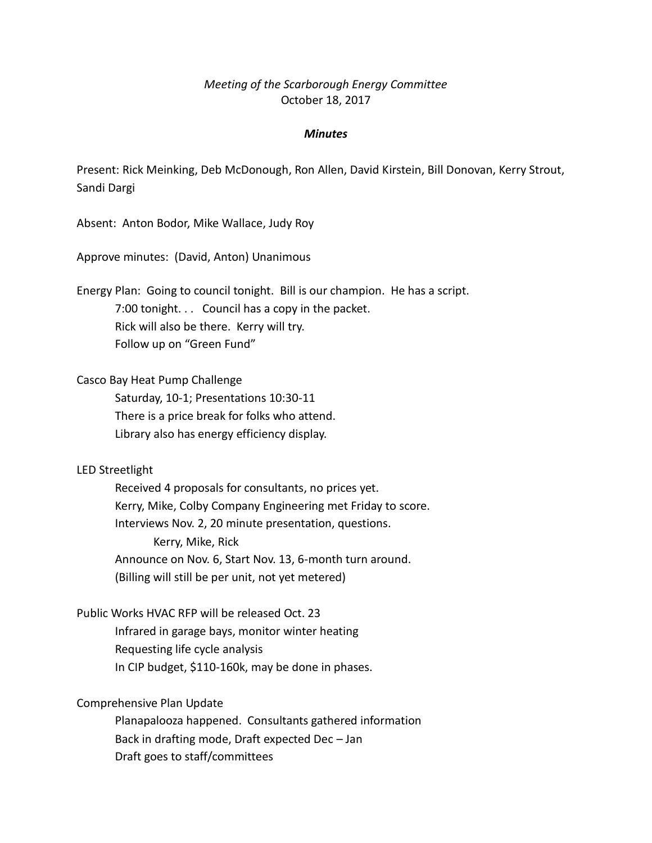# *Meeting of the Scarborough Energy Committee* October 18, 2017

#### *Minutes*

Present: Rick Meinking, Deb McDonough, Ron Allen, David Kirstein, Bill Donovan, Kerry Strout, Sandi Dargi

Absent: Anton Bodor, Mike Wallace, Judy Roy

Approve minutes: (David, Anton) Unanimous

Energy Plan: Going to council tonight. Bill is our champion. He has a script. 7:00 tonight. . . Council has a copy in the packet. Rick will also be there. Kerry will try. Follow up on "Green Fund"

Casco Bay Heat Pump Challenge

Saturday, 10-1; Presentations 10:30-11 There is a price break for folks who attend. Library also has energy efficiency display.

#### LED Streetlight

Received 4 proposals for consultants, no prices yet. Kerry, Mike, Colby Company Engineering met Friday to score. Interviews Nov. 2, 20 minute presentation, questions. Kerry, Mike, Rick Announce on Nov. 6, Start Nov. 13, 6-month turn around. (Billing will still be per unit, not yet metered)

## Public Works HVAC RFP will be released Oct. 23

Infrared in garage bays, monitor winter heating Requesting life cycle analysis In CIP budget, \$110-160k, may be done in phases.

## Comprehensive Plan Update

Planapalooza happened. Consultants gathered information Back in drafting mode, Draft expected Dec – Jan Draft goes to staff/committees